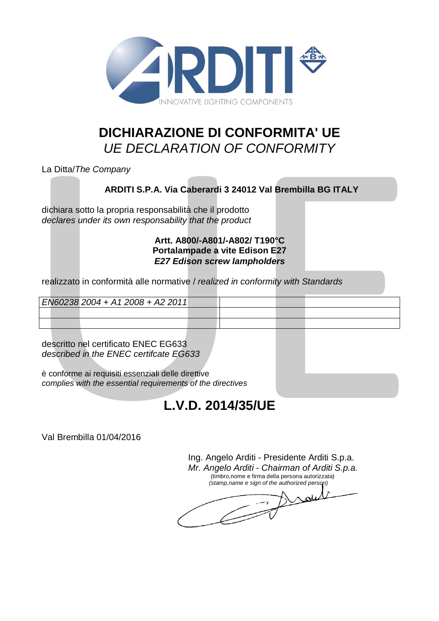

## **DICHIARAZIONE DI CONFORMITA' UE** *UE DECLARATION OF CONFORMITY*

## **ARDITI S.P.A. Via Caberardi 3 24012 Val Brembilla BG ITALY**

### **Artt. A800/-A801/-A802/ T190°C Portalampade a vite Edison E27** *E27 Edison screw lampholders*

| La Ditta/The Company                                                                                                                                                                               |  |                                                                                                         |  |  |
|----------------------------------------------------------------------------------------------------------------------------------------------------------------------------------------------------|--|---------------------------------------------------------------------------------------------------------|--|--|
|                                                                                                                                                                                                    |  | ARDITI S.P.A. Via Caberardi 3 24012 Val Brembilla BG ITALY                                              |  |  |
| dichiara sotto la propria responsabilità che il prodotto<br>declares under its own responsability that the product                                                                                 |  |                                                                                                         |  |  |
|                                                                                                                                                                                                    |  | Artt. A800/-A801/-A802/ T190°C<br>Portalampade a vite Edison E27<br><b>E27 Edison screw lampholders</b> |  |  |
|                                                                                                                                                                                                    |  | realizzato in conformità alle normative / realized in conformity with Standards                         |  |  |
| EN60238 2004 + A1 2008 + A2 2011                                                                                                                                                                   |  |                                                                                                         |  |  |
|                                                                                                                                                                                                    |  |                                                                                                         |  |  |
|                                                                                                                                                                                                    |  |                                                                                                         |  |  |
| descritto nel certificato ENEC EG633<br>described in the ENEC certifcate EG633<br>è conforme ai requisiti essenziali delle direttive<br>complies with the essential requirements of the directives |  |                                                                                                         |  |  |
|                                                                                                                                                                                                    |  | L.V.D. 2014/35/UE                                                                                       |  |  |

# **L.V.D. 2014/35/UE**

Ing. Angelo Arditi - Presidente Arditi S.p.a. *Mr. Angelo Arditi - Chairman of Arditi S.p.a.* (timbro,nome e firma della persona autorizzata) *(stamp,name e sign of the authorized person)*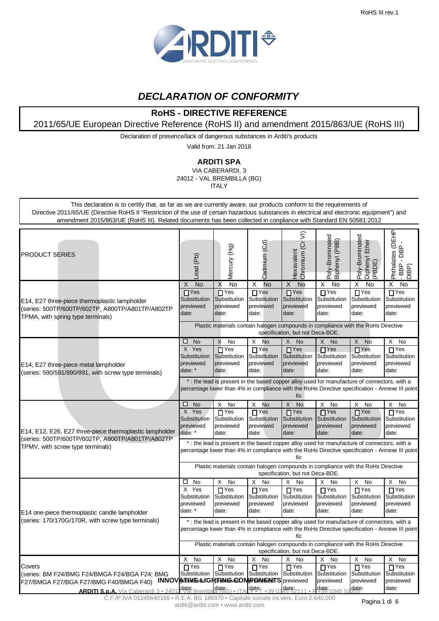

## **DECLARATION OF CONFORMITY**

## **RoHS - DIRECTIVE REFERENCE**

2011/65/UE European Directive Reference (RoHS II) and amendment 2015/863/UE (RoHS III)

Declaration of presence/lack of dangerous substances in Arditi's products

Valid from: 21 Jan 2018

#### **ARDITI SPA**

VIA CABERARDI, 3 24012 - VAL BREMBILLA (BG) ITALY

This declaration is to certify that, as far as we are currently aware, our products conform to the requirements of Directive 2011/65/UE (Directive RoHS II "Restriction of the use of certain hazardous substances in electrical and electronic equipment") and amendment 2015/863/UE (RoHS III). Related documents has been collected in conpliance with Standard EN 50581:2012

| <b>PRODUCT SERIES</b>                                                                                                                                                                  | Lead (Pb)                                                                                                                                                                                            | Mercury (Hg)                                                                                                                                                                                   | Cadmium (Cd)                                                       | $\widehat{z}$<br>Chromium (Cr<br>Hexavalent                                               | Poly-Brominated<br>Biphenyl (PBB)                                                              | Poly-Brominated<br>Ether<br>Diphenyl F<br>(PBDE)                          | Phthalates (DEHP<br>$\Omega$<br>굠<br>(daid<br>- BBP<br>- BBP                        |  |  |
|----------------------------------------------------------------------------------------------------------------------------------------------------------------------------------------|------------------------------------------------------------------------------------------------------------------------------------------------------------------------------------------------------|------------------------------------------------------------------------------------------------------------------------------------------------------------------------------------------------|--------------------------------------------------------------------|-------------------------------------------------------------------------------------------|------------------------------------------------------------------------------------------------|---------------------------------------------------------------------------|-------------------------------------------------------------------------------------|--|--|
| E14, E27 three-piece thermoplastic lampholder<br>(series: 500TP/600TP/602TP, A800TP/A801TP/A802TP<br>TPMA, with spring type terminals)                                                 | <b>No</b><br>Х<br>$\prod$ Yes<br>Substitution<br>previewed<br>date:                                                                                                                                  | X<br>No<br>$\overline{\square}$ Yes<br>Substitution<br>previewed<br>date:                                                                                                                      | <b>No</b><br>X<br>$\Box$ Yes<br>Substitution<br>previewed<br>date: | $\overline{X}$<br><b>No</b><br>$\overline{\Pi}$ Yes<br>Substitution<br>previewed<br>date: | $\overline{\mathsf{x}}$<br>No<br>$\overline{\Gamma}$ Yes<br>Substitution<br>previewed<br>date: | $\overline{X}$<br>No<br>$\prod$ Yes<br>Substitution<br>previewed<br>date: | $\overline{\mathsf{x}}$<br>No<br>$\sqcap$ Yes<br>Substitution<br>previewed<br>date: |  |  |
|                                                                                                                                                                                        |                                                                                                                                                                                                      | Plastic materials contain halogen compounds in compliance with the RoHs Directive                                                                                                              |                                                                    | specification, but not Deca-BDE.                                                          |                                                                                                |                                                                           |                                                                                     |  |  |
| E14, E27 three-piece metal lampholder<br>(series: 590/591/890/891, with screw type terminals)                                                                                          | □<br><b>No</b><br>X Yes<br>Substitution<br>previewed<br>date: *                                                                                                                                      | X<br>No<br>$\overline{\Box}$ Yes<br>Substitution<br>previewed<br>date:                                                                                                                         | X<br>No<br>$\Gamma$ Yes<br>Substitution<br>previewed<br>date:      | X<br>No<br>$\Box$ Yes<br>Substitution<br>previewed<br>date:                               | X No<br>$\sqcap$ Yes<br>Substitution<br>previewed<br>date:                                     | X<br>No<br>$\Box$ Yes<br>Substitution<br>previewed<br>date:               | X<br>No<br>$\sqcap$ Yes<br>Substitution<br>previewed<br>date:                       |  |  |
|                                                                                                                                                                                        |                                                                                                                                                                                                      | *: the lead is present in the based copper alloy used for manufacture of connectors, with a<br>percentage lower than 4% in compliance with the RoHs Directive specification - Annexe III point |                                                                    | 6c                                                                                        |                                                                                                |                                                                           |                                                                                     |  |  |
| E14, E12, E26, E27 three-piece thermoplastic lampholder                                                                                                                                | □<br><b>No</b><br>X Yes<br>Substitution<br>previewed<br>date: *                                                                                                                                      | X<br>No<br>$\Box$ Yes<br>Substitution<br>previewed<br>date:                                                                                                                                    | X<br>No<br>$\Box$ Yes<br>Substitution<br>previewed<br>date:        | X<br><b>No</b><br>$\prod$ Yes<br>Substitution<br>previewed<br>date:                       | X No<br>$\overline{\Box}$ Yes<br>Substitution<br>previewed<br>date:                            | X<br>No<br>$\Box$ Yes<br>Substitution<br>previewed<br>date:               | X<br>No<br>$\Box$ Yes<br>Substitution<br>previewed<br>date:                         |  |  |
| (series: 500TP/600TP/602TP, A800TP/A801TP/A802TP<br>TPMV, with screw type terminals)                                                                                                   | *: the lead is present in the based copper alloy used for manufacture of connectors, with a<br>percentage lower than 4% in compliance with the RoHs Directive specification - Annexe III point<br>6c |                                                                                                                                                                                                |                                                                    |                                                                                           |                                                                                                |                                                                           |                                                                                     |  |  |
|                                                                                                                                                                                        | Plastic materials contain halogen compounds in compliance with the RoHs Directive<br>specification, but not Deca-BDE.                                                                                |                                                                                                                                                                                                |                                                                    |                                                                                           |                                                                                                |                                                                           |                                                                                     |  |  |
| E14 one-piece thermoplastic candle lampholder                                                                                                                                          | □<br>No<br>Yes<br>X<br>Substitution<br>previewed<br>date: *                                                                                                                                          | X<br>No<br>$\Box$ Yes<br>Substitution<br>previewed<br>date:                                                                                                                                    | X<br>No<br>$\Box$ Yes<br>Substitution<br>previewed<br>date:        | X<br>No<br>$\Gamma$ Yes<br>Substitution<br>previewed<br>date:                             | X<br>No<br>$\Box$ Yes<br>Substitution<br>previewed<br>date:                                    | X<br>No<br>$\overline{\Box}$ Yes<br>Substitution<br>previewed<br>date:    | X<br>No<br>$\sqcap$ Yes<br>Substitution<br>previewed<br>date:                       |  |  |
| (series: 170/170G/170R, with screw type terminals)                                                                                                                                     |                                                                                                                                                                                                      | *: the lead is present in the based copper alloy used for manufacture of connectors, with a<br>percentage lower than 4% in compliance with the RoHs Directive specification - Annexe III point |                                                                    | 6с                                                                                        |                                                                                                |                                                                           |                                                                                     |  |  |
|                                                                                                                                                                                        |                                                                                                                                                                                                      | Plastic materials contain halogen compounds in compliance with the RoHs Directive                                                                                                              |                                                                    | specification, but not Deca-BDE                                                           |                                                                                                |                                                                           |                                                                                     |  |  |
| Covers<br>(series: BM F24/BMG F24/BMGA F24/BGA F24; BMG<br>F27/BMGA F27/BGA F27/BMG F40/BMGA F40)<br><b>ARDITI S.p.A.</b> Via Caberardi 3 · 2401 date: Brembilla (BG) · ITAL date: +39 | No<br>X<br>$\Gamma$ Yes<br>INNOVATEWE LIGHTENG COMPONENTS previewed                                                                                                                                  | X<br>No<br>$\overline{\Gamma}$ Yes<br>Substitution Substitution Substitution                                                                                                                   | X<br><b>No</b><br>$\overline{\Gamma}$ Yes                          | X<br>No<br>$TY$ es<br>Substitution<br>date:<br>4552111                                    | X No<br>$\overline{\Gamma}$ Yes<br>Substitution<br>previewed<br>$\frac{date}{4}0345$           | X No<br>$\Box$ Yes<br>Substitution<br>previewed<br>date:                  | X<br>No<br>$\Box$ Yes<br>Substitution<br>previewed<br>date:                         |  |  |
|                                                                                                                                                                                        |                                                                                                                                                                                                      |                                                                                                                                                                                                |                                                                    |                                                                                           |                                                                                                |                                                                           |                                                                                     |  |  |

C.F./P.IVA 01249640168 • R.E.A. BG 186970 • Capitale sociale int.vers. Euro 2.640.000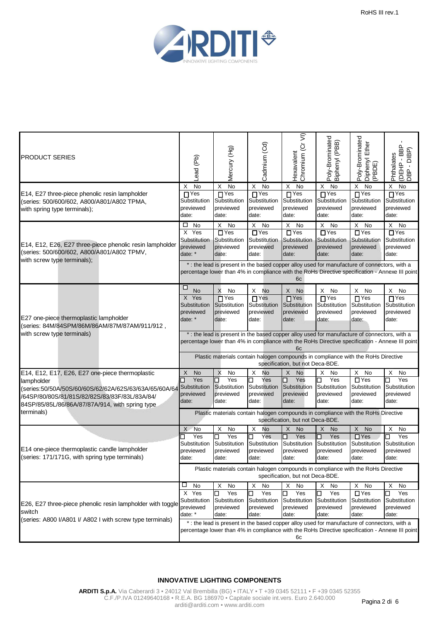

| <b>PRODUCT SERIES</b>                                                                                                                                                   | Lead (Pb)                                                        | Mercury (Hg)                                                              | Cadmium (Cd)                                                                                                                                                  | Chromium (Cr VI)<br>Hexavalent                                                                     | Poly-Brominated<br>Biphenyl (PBB)                              | Poly-Brominated<br>Diphenyl Ether<br>(PBDE)                                    | <b>GBD</b><br>JBD<br>JBD<br>w<br>Phthalate<br>ᅙ<br>(DEHP<br>$\blacksquare$<br><b>BP</b> |
|-------------------------------------------------------------------------------------------------------------------------------------------------------------------------|------------------------------------------------------------------|---------------------------------------------------------------------------|---------------------------------------------------------------------------------------------------------------------------------------------------------------|----------------------------------------------------------------------------------------------------|----------------------------------------------------------------|--------------------------------------------------------------------------------|-----------------------------------------------------------------------------------------|
| E14, E27 three-piece phenolic resin lampholder<br>(series: 500/600/602, A800/A801/A802 TPMA,<br>with spring type terminals);                                            | No<br>Χ<br>$\Gamma$ Yes<br>Substitution<br>previewed<br>date:    | No<br>X<br>$\prod$ Yes<br>Substitution<br>previewed<br>date:              | No<br>X<br>$\Gamma$ Yes<br>Substitution<br>previewed<br>date:                                                                                                 | X<br>No<br>$\prod$ Yes<br>Substitution<br>previewed<br>date:                                       | X<br>No<br>$\Gamma$ Yes<br>Substitution<br>previewed<br>date:  | X<br>No<br>$\Box$ Yes<br>Substitution<br>previewed<br>date:                    | X<br>No<br>$\sqcap$ Yes<br>Substitution<br>previewed<br>date:                           |
| E14, E12, E26, E27 three-piece phenolic resin lampholder<br>(series: 500/600/602, A800/A801/A802 TPMV,<br>with screw type terminals);                                   | □<br>No<br>X Yes<br>Substitution<br>previewed<br>date: *         | No<br>X<br>$\Box$ Yes<br>Substitution<br>previewed<br>date:               | X<br>No<br>$\Gamma$ Yes<br>Substitution<br>previewed<br>date:<br>* : the lead is present in the based copper alloy used for manufacture of connectors, with a | X<br>No<br>$\Box$ Yes<br>Substitution<br>previewed<br>date:                                        | No<br>X<br>$\Gamma$ Yes<br>Substitution<br>previewed<br>date:  | X<br>No<br>$\Box$ Yes<br>Substitution<br>previewed<br>date:                    | X<br>No<br>$\Box$ Yes<br>Substitution<br>previewed<br>date:                             |
|                                                                                                                                                                         |                                                                  |                                                                           | percentage lower than 4% in compliance with the RoHs Directive specification - Annexe III point                                                               | 6c                                                                                                 |                                                                |                                                                                |                                                                                         |
| E27 one-piece thermoplastic lampholder<br>(series: 84M/84SPM/86M/86AM/87M/87AM/911/912,                                                                                 | □<br>No<br>X Yes<br>Substitution<br>previewed<br>date: *         | X<br>No<br>$\overline{\square}$ Yes<br>Substitution<br>previewed<br>date: | X<br>No<br>$\Gamma$ Yes<br>Substitution<br>previewed<br>date:                                                                                                 | X<br><b>No</b><br>$\overline{\Pi}$ Yes<br>Substitution<br>previewed<br>date:                       | X.<br>No<br>$\Gamma$ Yes<br>Substitution<br>previewed<br>date: | X<br>No<br>$\Box$ Yes<br>Substitution<br>previewed<br>date:                    | X<br>No<br>$\prod$ Yes<br>Substitution<br>previewed<br>date:                            |
| with screw type terminals)                                                                                                                                              |                                                                  |                                                                           |                                                                                                                                                               |                                                                                                    |                                                                |                                                                                |                                                                                         |
|                                                                                                                                                                         |                                                                  |                                                                           | percentage lower than 4% in compliance with the RoHs Directive specification - Annexe III point                                                               | * : the lead is present in the based copper alloy used for manufacture of connectors, with a<br>6c |                                                                |                                                                                |                                                                                         |
|                                                                                                                                                                         |                                                                  |                                                                           | Plastic materials contain halogen compounds in compliance with the RoHs Directive                                                                             | specification, but not Deca-BDE.                                                                   |                                                                |                                                                                |                                                                                         |
| E14, E12, E17, E26, E27 one-piece thermoplastic<br>lampholder<br>(series:50/50A/50S/60/60S/62/62A/62S/63/63A/65/60A/64<br>/64SP/80/80S/81/81S/82/82S/83/83F/83L/83A/84/ | <b>No</b><br>X<br>Yes<br>□<br>Substitution<br>previewed<br>date: | X<br>No<br>┓<br>Yes<br>Substitution<br>previewed<br>date:                 | X<br>No<br>Yes<br>□<br>Substitution<br>previewed<br>date:                                                                                                     | X<br><b>No</b><br>Yes<br>◻<br>Substitution<br>previewed<br>date:                                   | Χ<br>No<br>Yes<br>□<br>Substitution<br>previewed<br>date:      | X<br>No<br>$\Box$ Yes<br>Substitution<br>previewed<br>date:                    | Χ<br>No<br>Yes<br>⊒<br>Substitution<br>previewed<br>date:                               |
| 84SP/85/85L/86/86A/87/87A/914, with spring type<br>terminals)                                                                                                           |                                                                  |                                                                           | Plastic materials contain halogen compounds in compliance with the RoHs Directive                                                                             | specification, but not Deca-BDE.                                                                   |                                                                |                                                                                |                                                                                         |
| E14 one-piece thermoplastic candle lampholder<br>(series: 171/171G, with spring type terminals)                                                                         | X<br>No<br>Yes<br>□<br>Substitution<br>previewed<br>date:        | Χ<br>No<br>Yes<br>□<br>Substitution<br>previewed<br>date:                 | X<br>No<br>Yes<br>П<br>Substitution<br>previewed<br>date:                                                                                                     | X<br><b>No</b><br>Yes<br>◻<br>Substitution<br>previewed<br>date:                                   | X<br>No<br>Yes<br>◻<br>Substitution<br>previewed<br>date:      | X<br><b>No</b><br>$\overline{\Box Y}$ es<br>Substitution<br>previewed<br>date: | Χ<br>No<br>Yes<br>$\Box$<br>Substitution<br>previewed<br>date:                          |
|                                                                                                                                                                         |                                                                  |                                                                           | Plastic materials contain halogen compounds in compliance with the RoHs Directive                                                                             | specification, but not Deca-BDE.                                                                   |                                                                |                                                                                |                                                                                         |
| E26, E27 three-piece phenolic resin lampholder with toggle<br>switch<br>(series: A800 I/A801 I/ A802 I with screw type terminals)                                       | ப<br>No<br>X Yes<br>Substitution<br>previewed<br>date: *         | Χ<br>No<br>Yes<br>▁<br>Substitution<br>previewed<br>date:                 | X<br>No<br>Yes<br>⊔<br>Substitution<br>previewed<br>date:<br>* : the lead is present in the based copper alloy used for manufacture of connectors, with a     | X<br>No<br>Yes<br>◻<br>Substitution<br>previewed<br>date:                                          | X<br>No<br>Yes<br>□<br>Substitution<br>previewed<br>date:      | X<br>No<br>$\Box$ Yes<br>Substitution<br>previewed<br>date:                    | X<br>No<br>Yes<br>$\Box$<br>Substitution<br>previewed<br>date:                          |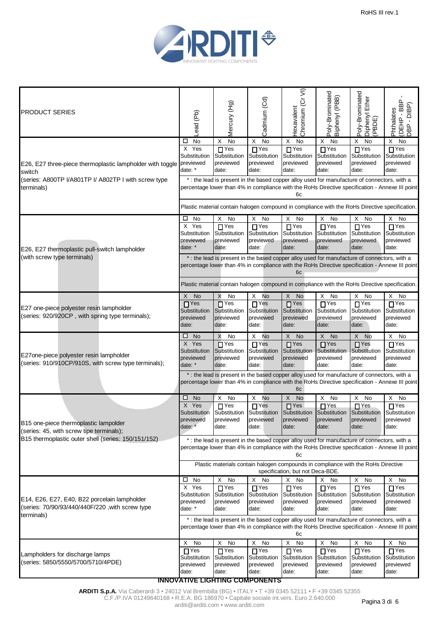

| <b>PRODUCT SERIES</b>                                                                           | Lead (Pb)                                                                                                                                                                                             | Mercury (Hg)                                                   | Cadmium (Cd)                                               | Hexavalent<br>Chromium (Cr VI)                                | Poly-Brominated<br>Biphenyl (PBB)                                                                                                                                                               | Poly-Brominated<br>Diphenyl Ether<br>(PBDE)                    | ≏<br>CHBL<br>Claud<br>C<br>Phthalates<br>(DEHP-<br>$\mathbf{I}$<br><b>ABD</b> |  |  |
|-------------------------------------------------------------------------------------------------|-------------------------------------------------------------------------------------------------------------------------------------------------------------------------------------------------------|----------------------------------------------------------------|------------------------------------------------------------|---------------------------------------------------------------|-------------------------------------------------------------------------------------------------------------------------------------------------------------------------------------------------|----------------------------------------------------------------|-------------------------------------------------------------------------------|--|--|
|                                                                                                 | <b>No</b><br>ப                                                                                                                                                                                        | $\overline{N}$<br>Х                                            | X<br>No                                                    | X<br>No                                                       | X<br>No                                                                                                                                                                                         | X<br>No                                                        | X<br>No                                                                       |  |  |
|                                                                                                 | X Yes<br>Substitution                                                                                                                                                                                 | $\overline{\Box}$ Yes<br>Substitution                          | $\overline{\Gamma}$ Yes<br>Substitution                    | $\overline{\square}$ Yes<br>Substitution                      | $\overline{\Pi \text{Yes}}$<br>Substitution                                                                                                                                                     | $\prod$ Yes<br>Substitution                                    | $\overline{\Pi}$ Yes<br>Substitution                                          |  |  |
| E26, E27 three-piece thermoplastic lampholder with toggle<br>switch                             | previewed<br>date: *                                                                                                                                                                                  | previewed<br>date:                                             | previewed<br>date:                                         | previewed<br>date:                                            | previewed<br>date:                                                                                                                                                                              | previewed<br>date:                                             | previewed<br>date:                                                            |  |  |
| (series: A800TP I/A801TP I/ A802TP I with screw type<br>terminals)                              |                                                                                                                                                                                                       |                                                                |                                                            | 6с                                                            | * : the lead is present in the based copper alloy used for manufacture of connectors, with a<br>percentage lower than 4% in compliance with the RoHs Directive specification - Annexe III point |                                                                |                                                                               |  |  |
|                                                                                                 |                                                                                                                                                                                                       |                                                                |                                                            |                                                               | Plastic material contain halogen compound in compliance with the RoHs Directive specification.                                                                                                  |                                                                |                                                                               |  |  |
|                                                                                                 | $\square$ No                                                                                                                                                                                          | Х<br>No                                                        | X<br>No                                                    | X<br>No                                                       | X<br>No                                                                                                                                                                                         | X<br>No                                                        | X<br>No                                                                       |  |  |
| E26, E27 thermoplastic pull-switch lampholder                                                   | X Yes<br>Substitution<br>previewed<br>date: *                                                                                                                                                         | $\overline{\Gamma}$ Yes<br>Substitution<br>previewed<br>date:  | $\overline{\Pi}$ Yes<br>Substitution<br>previewed<br>date: | $\overline{\Gamma}$ Yes<br>Substitution<br>previewed<br>date: | $\overline{\Gamma}$ Yes<br>Substitution<br>previewed<br>date:                                                                                                                                   | $\overline{\Gamma}$ Yes<br>Substitution<br>previewed<br>date:  | $\overline{\Gamma}$ Yes<br>Substitution<br>previewed<br>date:                 |  |  |
| (with screw type terminals)                                                                     | * : the lead is present in the based copper alloy used for manufacture of connectors, with a<br>percentage lower than 4% in compliance with the RoHs Directive specification - Annexe III point<br>6c |                                                                |                                                            |                                                               |                                                                                                                                                                                                 |                                                                |                                                                               |  |  |
|                                                                                                 |                                                                                                                                                                                                       |                                                                |                                                            |                                                               | Plastic material contain halogen compound in compliance with the RoHs Directive specification.                                                                                                  |                                                                |                                                                               |  |  |
|                                                                                                 | X<br>No                                                                                                                                                                                               | X<br>No                                                        | X<br>No                                                    | X<br>No                                                       | No<br>X                                                                                                                                                                                         | X<br>No                                                        | Χ<br>No                                                                       |  |  |
| E27 one-piece polyester resin lampholder<br>(series: 920/920CP, with spring type terminals);    | $\overline{\Pi}$ Yes                                                                                                                                                                                  | $\overline{\Box}$ Yes                                          | $\Gamma$ Yes                                               | $\overline{\blacksquare}$ Yes                                 | $\overline{\Gamma}$ Yes                                                                                                                                                                         | $\n  Yes\n$                                                    | $\prod$ Yes                                                                   |  |  |
|                                                                                                 | Substitution<br>previewed                                                                                                                                                                             | Substitution<br>previewed                                      | Substitution<br>previewed                                  | Substitution<br>previewed                                     | Substitution<br>previewed                                                                                                                                                                       | Substitution<br>previewed                                      | Substitution<br>previewed                                                     |  |  |
|                                                                                                 | date:                                                                                                                                                                                                 | date:                                                          | date:                                                      | date:                                                         | date:                                                                                                                                                                                           | date:                                                          | date:                                                                         |  |  |
|                                                                                                 | $\square$ No                                                                                                                                                                                          | X<br>No                                                        | No<br>X                                                    | X<br><b>No</b>                                                | X No                                                                                                                                                                                            | X No                                                           | No<br>X                                                                       |  |  |
| E27one-piece polyester resin lampholder<br>(series: 910/910CP/910S, with screw type terminals); | X Yes<br>Substitution<br>previewed<br>date: *                                                                                                                                                         | $\overline{\square}$ Yes<br>Substitution<br>previewed<br>date: | $\prod$ Yes<br>Substitution<br>previewed<br>date:          | $\overline{\Box}$ Yes<br>Substitution<br>previewed<br>date:   | $\overline{\blacksquare}$ Yes<br>Substitution<br>previewed<br>date:                                                                                                                             | $\overline{\square}$ Yes<br>Substitution<br>previewed<br>date: | $\prod$ Yes<br>Substitution<br>previewed<br>date:                             |  |  |
|                                                                                                 |                                                                                                                                                                                                       |                                                                |                                                            | 6c                                                            | * : the lead is present in the based copper alloy used for manufacture of connectors, with a<br>percentage lower than 4% in compliance with the RoHs Directive specification - Annexe III point |                                                                |                                                                               |  |  |
|                                                                                                 | <b>No</b><br>□.                                                                                                                                                                                       | Х<br>No                                                        | X<br>No                                                    | X<br>No                                                       | No<br>Χ                                                                                                                                                                                         | No<br>X                                                        | Х<br>No                                                                       |  |  |
|                                                                                                 | X Yes<br>Substitution                                                                                                                                                                                 | $\Box$ Yes                                                     | $\Box$ Yes                                                 | $\Box$ Yes                                                    | $\overline{\Box}$ Yes<br>Substitution Substitution Substitution Substitution Substitution                                                                                                       | $\Box$ Yes                                                     | $\Box$ Yes<br>Substitution                                                    |  |  |
| B15 one-piece thermoplastic lampolder<br>(series: 45, with screw tipe terminals);               | previewed<br>date: *                                                                                                                                                                                  | previewed<br>date:                                             | previewed<br>date:                                         | previewed<br>date:                                            | previewed<br>date:                                                                                                                                                                              | previewed<br>date:                                             | previewed<br>date:                                                            |  |  |
| B15 thermoplastic outer shell (series: 150/151/152)                                             | * : the lead is present in the based copper alloy used for manufacture of connectors, with a<br>percentage lower than 4% in compliance with the RoHs Directive specification - Annexe III point<br>6с |                                                                |                                                            |                                                               |                                                                                                                                                                                                 |                                                                |                                                                               |  |  |
|                                                                                                 |                                                                                                                                                                                                       |                                                                |                                                            | specification, but not Deca-BDE.                              | Plastic materials contain halogen compounds in compliance with the RoHs Directive                                                                                                               |                                                                |                                                                               |  |  |
|                                                                                                 | $\square$ No                                                                                                                                                                                          | X<br>No                                                        | X<br>No                                                    | X<br>No                                                       | X No                                                                                                                                                                                            | X<br>No                                                        | X<br>No                                                                       |  |  |
|                                                                                                 | X Yes                                                                                                                                                                                                 | $\overline{\Gamma}$ Yes                                        | $\Box$ Yes                                                 | $TY$ es                                                       | $\overline{\Gamma}$ Yes                                                                                                                                                                         | $\Box$ Yes                                                     | $\Box$ Yes                                                                    |  |  |
| E14, E26, E27, E40, B22 porcelain lampholder                                                    | Substitution                                                                                                                                                                                          | Substitution                                                   | Substitution                                               | Substitution                                                  | Substitution                                                                                                                                                                                    | Substitution                                                   | Substitution                                                                  |  |  |
| (series: 70/90/93/440/440F/220, with screw type                                                 | previewed                                                                                                                                                                                             | previewed                                                      | previewed                                                  | previewed                                                     | previewed                                                                                                                                                                                       | previewed                                                      | previewed                                                                     |  |  |
| terminals)                                                                                      | date: *                                                                                                                                                                                               | date:                                                          | date:                                                      | date:                                                         | date:                                                                                                                                                                                           | date:                                                          | date:                                                                         |  |  |
|                                                                                                 |                                                                                                                                                                                                       |                                                                |                                                            | 6с                                                            | *: the lead is present in the based copper alloy used for manufacture of connectors, with a<br>percentage lower than 4% in compliance with the RoHs Directive specification - Annexe III point  |                                                                |                                                                               |  |  |
|                                                                                                 | X<br>No                                                                                                                                                                                               | X<br>No                                                        | X<br>No                                                    | Χ<br>No                                                       | X<br>No                                                                                                                                                                                         | X<br>No                                                        | X<br>No                                                                       |  |  |
| Lampholders for discharge lamps                                                                 | $\Gamma$ Yes                                                                                                                                                                                          | $\Box$ Yes                                                     | $\Gamma$ Yes                                               | $\Box$ Yes                                                    | $\overline{\Box}$ Yes                                                                                                                                                                           | $\Gamma$ Yes                                                   | $\sqcap$ Yes                                                                  |  |  |
| (series: 5850/5550/5700/5710/4PDE)                                                              | Substitution<br>previewed                                                                                                                                                                             | Substitution<br>previewed                                      | Substitution                                               | Substitution<br>previewed                                     | Substitution<br>previewed                                                                                                                                                                       | Substitution<br>previewed                                      | Substitution<br>previewed                                                     |  |  |
|                                                                                                 | date:                                                                                                                                                                                                 | date:                                                          | previewed<br>date:                                         | date:                                                         | date:                                                                                                                                                                                           | date:                                                          | date:                                                                         |  |  |
|                                                                                                 | <b>INNOVATIVE LIGHTING COMPONENTS</b>                                                                                                                                                                 |                                                                |                                                            |                                                               |                                                                                                                                                                                                 |                                                                |                                                                               |  |  |
|                                                                                                 |                                                                                                                                                                                                       |                                                                |                                                            |                                                               |                                                                                                                                                                                                 |                                                                |                                                                               |  |  |

**ARDITI S.p.A.** Via Caberardi 3 • 24012 Val Brembilla (BG) • ITALY • T +39 0345 52111 • F +39 0345 52355

C.F./P.IVA 01249640168 • R.E.A. BG 186970 • Capitale sociale int.vers. Euro 2.640.000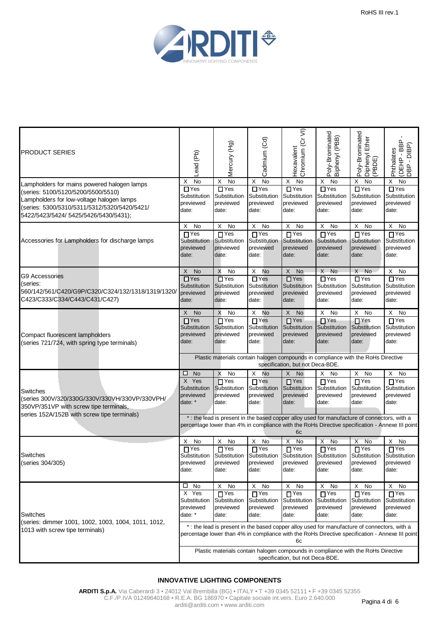

| PRODUCT SERIES                                                                                                                                                           | ead (Pb)                                                                                                              | Mercury (Hg)                                                                                                                                                                                    | Cadmium (Cd)                                                  | Chromium (Cr VI)<br>Hexavalent                              | Poly-Brominated<br>Biphenyl (PBB)                                            | Poly-Brominated<br>Diphenyl Ether<br>(PBDE)       | <b>GBD-</b><br>Phthalates<br>$\overline{\Omega}$ .<br><b>CEHP</b><br><b>BP</b> |  |  |
|--------------------------------------------------------------------------------------------------------------------------------------------------------------------------|-----------------------------------------------------------------------------------------------------------------------|-------------------------------------------------------------------------------------------------------------------------------------------------------------------------------------------------|---------------------------------------------------------------|-------------------------------------------------------------|------------------------------------------------------------------------------|---------------------------------------------------|--------------------------------------------------------------------------------|--|--|
| Lampholders for mains powered halogen lamps                                                                                                                              | <b>No</b><br>X                                                                                                        | X<br>No                                                                                                                                                                                         | No<br>Χ                                                       | No<br>X                                                     | $\times$<br>No                                                               | X<br>No                                           | Χ<br>No                                                                        |  |  |
| (series: 5100/5120/5200/5500/5510)<br>Lampholders for low-voltage halogen lamps<br>(series: 5300/5310/5311/5312/5320/5420/5421/<br>5422/5423/5424/ 5425/5426/5430/5431); | $\Box$ Yes<br>Substitution<br>previewed<br>date:                                                                      | $\Box$ Yes<br>Substitution<br>previewed<br>date:                                                                                                                                                | $\Box$ Yes<br>Substitution<br>previewed<br>date:              | $\Box$ Yes<br>Substitution<br>previewed<br>date:            | $\Box$ Yes<br>Substitution<br>previewed<br>date:                             | $\Box$ Yes<br>Substitution<br>previewed<br>date:  | $\Box$ Yes<br>Substitution<br>previewed<br>date:                               |  |  |
|                                                                                                                                                                          | No<br>X                                                                                                               | X<br>No                                                                                                                                                                                         | X No                                                          | X<br>No                                                     | X No                                                                         | X<br>No                                           | X<br>No                                                                        |  |  |
| Accessories for Lampholders for discharge lamps                                                                                                                          | $\overline{\Pi}$ Yes<br>Substitution<br>previewed<br>date:                                                            | $\overline{\Pi}$ Yes<br>Substitution<br>previewed<br>date:                                                                                                                                      | $\Gamma$ Yes<br>Substitution<br>previewed<br>date:            | $\overline{\Pi}$ Yes<br>Substitution<br>previewed<br>date:  | $\overline{\Pi \text{Yes}}$<br>Substitution<br>previewed<br>date:            | $\prod$ Yes<br>Substitution<br>previewed<br>date: | $\overline{\bigcap Y}$ es<br>Substitution<br>previewed<br>date:                |  |  |
|                                                                                                                                                                          | X No                                                                                                                  | X<br>No                                                                                                                                                                                         | X<br>No                                                       | X No                                                        | X No                                                                         | X No                                              | X<br>No                                                                        |  |  |
| G9 Accessories<br>(series:<br>560/142/561/C420/G9P/C320/C324/132/1318/1319/1320/<br>C423/C333/C334/C443/C431/C427)                                                       | $\overline{\Box}$ Yes<br>Substitution<br>previewed<br>date:                                                           | $\overline{\Box}$ Yes<br>Substitution<br>previewed<br>date:                                                                                                                                     | $\Box$ Yes<br>Substitution<br>previewed<br>date:              | $\Box$ Yes<br>Substitution<br>previewed<br>date:            | $\overline{\Box}$ Yes<br>Substitution<br>previewed<br>date:                  | $\Box$ Yes<br>Substitution<br>previewed<br>date:  | $\Box$ Yes<br>Substitution<br>previewed<br>date:                               |  |  |
|                                                                                                                                                                          | X No                                                                                                                  | X<br>No                                                                                                                                                                                         | X<br>No                                                       | X<br>No                                                     | X No                                                                         | X<br>No                                           | X<br>No                                                                        |  |  |
| Compact fluorescent lampholders<br>(series 721/724, with spring type terminals)                                                                                          | $\overline{\Box}$ Yes<br>Substitution<br>previewed<br>date:                                                           | $\overline{\Box}$ Yes<br>Substitution<br>previewed<br>date:                                                                                                                                     | $\overline{\Gamma}$ Yes<br>Substitution<br>previewed<br>date: | $\overline{\Box}$ Yes<br>Substitution<br>previewed<br>date: | $\overline{\Box}$ Yes<br>Substitution<br>previewed<br>date:                  | $\Box$ Yes<br>Substitution<br>previewed<br>date:  | $\overline{\Box}$ Yes<br>Substitution<br>previewed<br>date:                    |  |  |
|                                                                                                                                                                          | Plastic materials contain halogen compounds in compliance with the RoHs Directive<br>specification, but not Deca-BDE. |                                                                                                                                                                                                 |                                                               |                                                             |                                                                              |                                                   |                                                                                |  |  |
|                                                                                                                                                                          | $\square$ No                                                                                                          | X<br>No                                                                                                                                                                                         | X<br>No                                                       | X No                                                        | X<br>No                                                                      | X<br>No                                           | X<br>No                                                                        |  |  |
| Switches<br>(series 300V/320/330G/330V/330VH/330VP/330VPH/<br>350VP/351VP with screw tipe terminals,                                                                     | X Yes<br>Substitution<br>previewed<br>date: *                                                                         | $\Box$ Yes<br>Substitution<br>previewed<br>date:                                                                                                                                                | $\Gamma$ Yes<br>Substitution<br>previewed<br>date:            | $\Box$ Yes<br>Substitution<br>previewed<br>date:            | $\overline{\Gamma}$ Yes<br>Substitution<br>previewed<br>date:                | $\Box$ Yes<br>Substitution<br>previewed<br>date:  | $\overline{\blacksquare}$ Yes<br>Substitution<br>previewed<br>date:            |  |  |
| series 152A/152B with screw tipe terminals)                                                                                                                              | * : the lead is present in the based copper alloy used for manufacture of connectors, with a                          |                                                                                                                                                                                                 |                                                               |                                                             |                                                                              |                                                   |                                                                                |  |  |
|                                                                                                                                                                          |                                                                                                                       | percentage lower than 4% in compliance with the RoHs Directive specification - Annexe III point                                                                                                 |                                                               | 6c                                                          |                                                                              |                                                   |                                                                                |  |  |
|                                                                                                                                                                          | X<br>No                                                                                                               | X<br>No                                                                                                                                                                                         | X<br>No                                                       | Χ<br>No                                                     | No<br>Χ                                                                      | Χ<br>No                                           | х<br>No                                                                        |  |  |
| Switches<br>(series 304/305)                                                                                                                                             | $\Box$ Yes<br>previewed<br>date:                                                                                      | $\overline{\Box}$ Yes<br>Substitution Substitution Substitution<br>previewed<br>date:                                                                                                           | $Y$ es<br>previewed<br>date:                                  | T <sup>Yes</sup><br>previewed<br>date:                      | $\Gamma$ Yes<br>Substitution Substitution Substitution<br>previewed<br>date: | $T$ Yes<br>previewed<br>date:                     | $\overline{\Box}$ Yes<br>Substitution<br>previewed<br>date:                    |  |  |
|                                                                                                                                                                          | $\square$ No                                                                                                          | X No                                                                                                                                                                                            | X.<br>No                                                      | X<br>No                                                     | X No                                                                         | X No                                              | X<br>No                                                                        |  |  |
| Switches                                                                                                                                                                 | X Yes<br>Substitution<br>previewed<br>date: *                                                                         | $\Box$ Yes<br>Substitution<br>previewed<br>date:                                                                                                                                                | $\Gamma$ Yes<br>Substitution<br>previewed<br>date:            | $\sqcap$ Yes<br>Substitution<br>previewed<br>date:          | $\Gamma$ Yes<br>Substitution<br>previewed<br>date:                           | $\Box$ Yes<br>Substitution<br>previewed<br>date:  | $\sqcap$ Yes<br>Substitution<br>previewed<br>date:                             |  |  |
| (series: dimmer 1001, 1002, 1003, 1004, 1011, 1012,<br>1013 with screw tipe terminals)                                                                                   |                                                                                                                       | * : the lead is present in the based copper alloy used for manufacture of connectors, with a<br>percentage lower than 4% in compliance with the RoHs Directive specification - Annexe III point |                                                               | 6с                                                          |                                                                              |                                                   |                                                                                |  |  |
|                                                                                                                                                                          |                                                                                                                       | Plastic materials contain halogen compounds in compliance with the RoHs Directive                                                                                                               |                                                               | specification, but not Deca-BDE.                            |                                                                              |                                                   |                                                                                |  |  |

#### **INNOVATIVE LIGHTING COMPONENTS**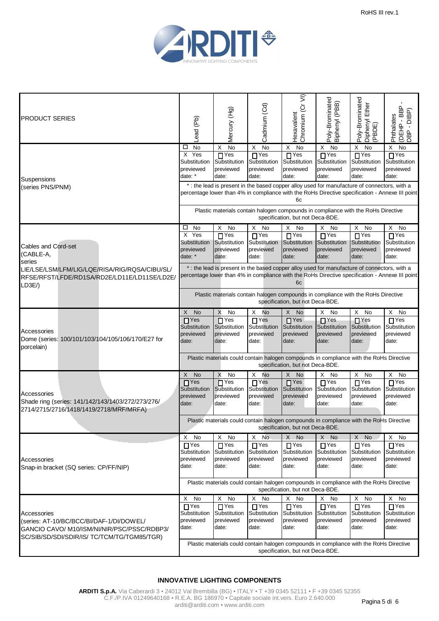

| <b>PRODUCT SERIES</b>                                                                                    | Lead (Pb)                                                                                                                                                                                             | Mercury (Hg)                                                      | Cadmium (Cd)                                       | Chromium (Cr VI)<br>Hexavalent                              | Poly-Brominated<br>Biphenyl (PBB)                                                                                                                                                              | Poly-Brominated<br>Diphenyl Ether<br>(PBDE)                       | ≏<br>(DEHP - BBP)<br>DBP - DIBP)<br>Phthalates                    |  |  |
|----------------------------------------------------------------------------------------------------------|-------------------------------------------------------------------------------------------------------------------------------------------------------------------------------------------------------|-------------------------------------------------------------------|----------------------------------------------------|-------------------------------------------------------------|------------------------------------------------------------------------------------------------------------------------------------------------------------------------------------------------|-------------------------------------------------------------------|-------------------------------------------------------------------|--|--|
|                                                                                                          | No<br>□                                                                                                                                                                                               | <b>No</b><br>X                                                    | No<br>X                                            | No<br>X                                                     | X<br>No                                                                                                                                                                                        | X<br>No                                                           | X<br>No                                                           |  |  |
| Suspensions                                                                                              | X Yes<br>Substitution<br>previewed<br>date: *                                                                                                                                                         | $\overline{\Box}$ Yes<br>Substitution<br>previewed<br>date:       | $\Gamma$ Yes<br>Substitution<br>previewed<br>date: | $\overline{\Box}$ Yes<br>Substitution<br>previewed<br>date: | $\overline{\Pi}$ Yes<br>Substitution<br>previewed<br>date:                                                                                                                                     | $\Box$ Yes<br>Substitution<br>previewed<br>date:                  | $\Box$ Yes<br>Substitution<br>previewed<br>date:                  |  |  |
| (series PNS/PNM)                                                                                         | * : the lead is present in the based copper alloy used for manufacture of connectors, with a<br>percentage lower than 4% in compliance with the RoHs Directive specification - Annexe III point<br>6с |                                                                   |                                                    |                                                             |                                                                                                                                                                                                |                                                                   |                                                                   |  |  |
|                                                                                                          |                                                                                                                                                                                                       |                                                                   |                                                    | specification, but not Deca-BDE.                            | Plastic materials contain halogen compounds in compliance with the RoHs Directive                                                                                                              |                                                                   |                                                                   |  |  |
|                                                                                                          | □<br>No                                                                                                                                                                                               | X<br>No                                                           | X<br>No                                            | Χ<br>No                                                     | Χ<br>No                                                                                                                                                                                        | X<br>No                                                           | X<br>No                                                           |  |  |
| Cables and Cord-set<br>(CABLE-A,                                                                         | X Yes<br>Substitution<br>previewed<br>date: *                                                                                                                                                         | $\overline{\Gamma}$ Yes<br>Substitution<br>previewed<br>date:     | $\Gamma$ Yes<br>Substitution<br>previewed<br>date: | $\Box$ Yes<br>Substitution<br>previewed<br>date:            | $\Gamma$ Yes<br>Substitution<br>previewed<br>date:                                                                                                                                             | $\Box$ Yes<br>Substitution<br>previewed<br>date:                  | $\overline{\Gamma}$ Yes<br>Substitution<br>previewed<br>date:     |  |  |
| series                                                                                                   |                                                                                                                                                                                                       |                                                                   |                                                    |                                                             |                                                                                                                                                                                                |                                                                   |                                                                   |  |  |
| LIE/LSE/LSM/LFM/LIG/LQE/RISA/RIG/RQSA/CIBU/SL/<br>RFSE/RFST/LFDE/RD1SA/RD2E/LD11E/LD11SE/LD2E/<br>LD3E/) |                                                                                                                                                                                                       |                                                                   |                                                    | 6c                                                          | *: the lead is present in the based copper alloy used for manufacture of connectors, with a<br>percentage lower than 4% in compliance with the RoHs Directive specification - Annexe III point |                                                                   |                                                                   |  |  |
|                                                                                                          |                                                                                                                                                                                                       |                                                                   |                                                    | specification, but not Deca-BDE.                            | Plastic materials contain halogen compounds in compliance with the RoHs Directive                                                                                                              |                                                                   |                                                                   |  |  |
|                                                                                                          | X No                                                                                                                                                                                                  | X<br>No                                                           | X<br>No                                            | X No                                                        | X<br>No                                                                                                                                                                                        | X<br>No                                                           | X<br>No                                                           |  |  |
| Accessories<br>Dome (series: 100/101/103/104/105/106/170/E27 for                                         | $\overline{\Pi}$ Yes<br>Substitution<br>previewed<br>date:                                                                                                                                            | $\overline{\Pi \text{Yes}}$<br>Substitution<br>previewed<br>date: | $\prod$ Yes<br>Substitution<br>previewed<br>date:  | $\n  Yes\n$<br>Substitution<br>previewed<br>date:           | $\overline{\Pi \text{Yes}}$<br>Substitution<br>previewed<br>date:                                                                                                                              | $\overline{\Pi \text{Yes}}$<br>Substitution<br>previewed<br>date: | $\overline{\Pi \text{Yes}}$<br>Substitution<br>previewed<br>date: |  |  |
| porcelain)                                                                                               | Plastic materials could contain halogen compounds in compliance with the RoHs Directive<br>specification, but not Deca-BDE.                                                                           |                                                                   |                                                    |                                                             |                                                                                                                                                                                                |                                                                   |                                                                   |  |  |
|                                                                                                          | X No                                                                                                                                                                                                  | X<br>No                                                           | X<br>No                                            | X No                                                        | X No                                                                                                                                                                                           | X<br>No                                                           | X<br>No                                                           |  |  |
|                                                                                                          | $\overline{\blacksquare}$ Yes                                                                                                                                                                         | $\prod$ Yes                                                       | $\Gamma$ Yes                                       | $\Box$ Yes                                                  | $\prod$ Yes                                                                                                                                                                                    | $\Box$ Yes                                                        | $\sqcap$ Yes                                                      |  |  |
|                                                                                                          | Substitution                                                                                                                                                                                          | Substitution                                                      | Substitution                                       | Substitution                                                | Substitution                                                                                                                                                                                   | Substitution                                                      | Substitution                                                      |  |  |
| Accessories                                                                                              | previewed                                                                                                                                                                                             | previewed                                                         | previewed                                          | previewed                                                   | previewed                                                                                                                                                                                      | previewed                                                         | previewed                                                         |  |  |
| Shade ring (series: 141/142/143/1403/272/273/276/                                                        | date:                                                                                                                                                                                                 | date:                                                             | date:                                              | date:                                                       | date:                                                                                                                                                                                          | date:                                                             | date:                                                             |  |  |
| 2714/2715/2716/1418/1419/2718/MRF/MRFA)                                                                  |                                                                                                                                                                                                       |                                                                   |                                                    |                                                             |                                                                                                                                                                                                |                                                                   |                                                                   |  |  |
|                                                                                                          | Plastic materials could contain halogen compounds in compliance with the RoHs Directive<br>specification, but not Deca-BDE.                                                                           |                                                                   |                                                    |                                                             |                                                                                                                                                                                                |                                                                   |                                                                   |  |  |
|                                                                                                          | X<br>No                                                                                                                                                                                               | Χ<br>No                                                           | Χ<br>No                                            | X No                                                        | X No                                                                                                                                                                                           | $\times$<br><b>No</b>                                             | X<br>No                                                           |  |  |
|                                                                                                          | $\Box$ Yes                                                                                                                                                                                            | $\Box$ Yes                                                        | $\Gamma$ Yes                                       | $\overline{\Gamma}$ Yes                                     | $\Gamma$ Yes                                                                                                                                                                                   | $\Box$ Yes                                                        | $\overline{\Gamma}$ Yes                                           |  |  |
|                                                                                                          | Substitution                                                                                                                                                                                          | Substitution                                                      | Substitution                                       | Substitution                                                | Substitution                                                                                                                                                                                   | Substitution                                                      | Substitution                                                      |  |  |
| Accessories                                                                                              | previewed                                                                                                                                                                                             | previewed                                                         | previewed                                          | previewed                                                   | previewed                                                                                                                                                                                      | previewed                                                         | previewed                                                         |  |  |
| Snap-in bracket (SQ series: CP/FF/NIP)                                                                   | date:                                                                                                                                                                                                 | date:                                                             | date:                                              | date:                                                       | date:                                                                                                                                                                                          | date:                                                             | date:                                                             |  |  |
|                                                                                                          |                                                                                                                                                                                                       |                                                                   |                                                    |                                                             | Plastic materials could contain halogen compounds in compliance with the RoHs Directive                                                                                                        |                                                                   |                                                                   |  |  |
|                                                                                                          |                                                                                                                                                                                                       |                                                                   |                                                    | specification, but not Deca-BDE.                            |                                                                                                                                                                                                |                                                                   |                                                                   |  |  |
|                                                                                                          | X No<br>$\overline{\Gamma}$ Yes                                                                                                                                                                       | $\mathsf X$<br>No<br>$\sqcap$ Yes                                 | X No<br>$\overline{\Gamma}$ Yes                    | X No<br>$\overline{\Gamma}$ Yes                             | X No<br>$\overline{\square}$ Yes                                                                                                                                                               | X No<br>$\Box$ Yes                                                | X No<br>$\prod$ Yes                                               |  |  |
| Accessories                                                                                              | Substitution                                                                                                                                                                                          | Substitution                                                      | Substitution                                       | Substitution                                                | Substitution                                                                                                                                                                                   | Substitution                                                      | Substitution                                                      |  |  |
| (series: AT-10/BC/BCC/BI/DAF-1/DI/DOWEL/<br>GANCIO CAVO/ M10/ISM/NI/NIR/PSC/PSSC/RDBP3/                  | previewed<br>date:                                                                                                                                                                                    | previewed<br>date:                                                | previewed<br>date:                                 | previewed<br>date:                                          | previewed<br>date:                                                                                                                                                                             | previewed<br>date:                                                | previewed<br>date:                                                |  |  |
| SC/SIB/SD/SDI/SDIR/IS/ TC/TCM/TG/TGM85/TGR)                                                              | Plastic materials could contain halogen compounds in compliance with the RoHs Directive<br>specification, but not Deca-BDE.                                                                           |                                                                   |                                                    |                                                             |                                                                                                                                                                                                |                                                                   |                                                                   |  |  |